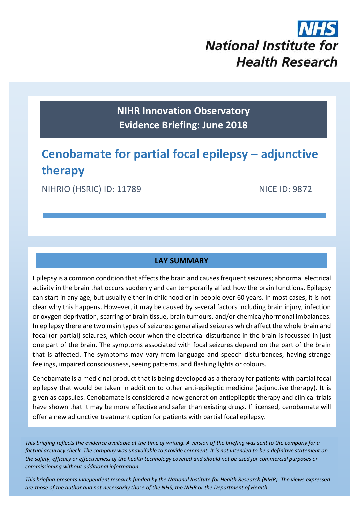# **National Institute for Health Research**

**NIHR Innovation Observatory Evidence Briefing: June 2018**

# **Cenobamate for partial focal epilepsy – adjunctive therapy**

NIHRIO (HSRIC) ID: 11789 NICE ID: 9872

#### **LAY SUMMARY**

Epilepsy is a common condition that affects the brain and causes frequent seizures; abnormal electrical activity in the brain that occurs suddenly and can temporarily affect how the brain functions. Epilepsy can start in any age, but usually either in childhood or in people over 60 years. In most cases, it is not clear why this happens. However, it may be caused by several factors including brain injury, infection or oxygen deprivation, scarring of brain tissue, brain tumours, and/or chemical/hormonal imbalances. In epilepsy there are two main types of seizures: generalised seizures which affect the whole brain and focal (or partial) seizures, which occur when the electrical disturbance in the brain is focussed in just one part of the brain. The symptoms associated with focal seizures depend on the part of the brain that is affected. The symptoms may vary from language and speech disturbances, having strange feelings, impaired consciousness, seeing patterns, and flashing lights or colours.

Cenobamate is a medicinal product that is being developed as a therapy for patients with partial focal epilepsy that would be taken in addition to other anti-epileptic medicine (adjunctive therapy). It is given as capsules. Cenobamate is considered a new generation antiepileptic therapy and clinical trials have shown that it may be more effective and safer than existing drugs. If licensed, cenobamate will offer a new adjunctive treatment option for patients with partial focal epilepsy.

*This briefing reflects the evidence available at the time of writing. A version of the briefing was sent to the company for a factual accuracy check. The company was unavailable to provide comment. It is not intended to be a definitive statement on the safety, efficacy or effectiveness of the health technology covered and should not be used for commercial purposes or commissioning without additional information.*

1 *This briefing presents independent research funded by the National Institute for Health Research (NIHR). The views expressed are those of the author and not necessarily those of the NHS, the NIHR or the Department of Health.*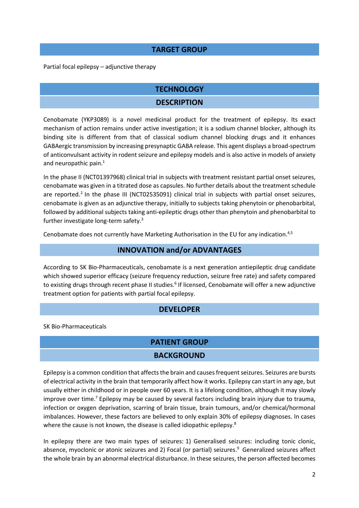#### **TARGET GROUP**

Partial focal epilepsy – adjunctive therapy

#### **TECHNOLOGY**

#### **DESCRIPTION**

Cenobamate (YKP3089) is a novel medicinal product for the treatment of epilepsy. Its exact mechanism of action remains under active investigation; it is a sodium channel blocker, although its binding site is different from that of classical sodium channel blocking drugs and it enhances GABAergic transmission by increasing presynaptic GABA release. This agent displays a broad-spectrum of anticonvulsant activity in rodent seizure and epilepsy models and is also active in models of anxiety and neuropathic pain.<sup>1</sup>

<span id="page-1-1"></span>In the phase II (NCT01397968) clinical trial in subjects with treatment resistant partial onset seizures, cenobamate was given in a titrated dose as capsules. No further details about the treatment schedule are reported.<sup>2</sup> In the phase III (NCT02535091) clinical trial in subjects with partial onset seizures, cenobamate is given as an adjunctive therapy, initially to subjects taking phenytoin or phenobarbital, followed by additional subjects taking anti-epileptic drugs other than phenytoin and phenobarbital to further investigate long-term safety.<sup>3</sup>

Cenobamate does not currently have Marketing Authorisation in the EU for any indication.<sup>4,5</sup>

#### <span id="page-1-0"></span>**INNOVATION and/or ADVANTAGES**

According to SK Bio-Pharmaceuticals, cenobamate is a next generation antiepileptic drug candidate which showed superior efficacy (seizure frequency reduction, seizure free rate) and safety compared to existing drugs through recent phase II studies.<sup>6</sup> If licensed, Cenobamate will offer a new adjunctive treatment option for patients with partial focal epilepsy.

#### **DEVELOPER**

SK Bio-Pharmaceuticals

#### **PATIENT GROUP**

#### **BACKGROUND**

Epilepsy is a common condition that affects the brain and causes frequent seizures. Seizures are bursts of electrical activity in the brain that temporarily affect how it works. Epilepsy can start in any age, but usually either in childhood or in people over 60 years. It is a lifelong condition, although it may slowly improve over time.<sup>7</sup> Epilepsy may be caused by several factors including brain injury due to trauma, infection or oxygen deprivation, scarring of brain tissue, brain tumours, and/or chemical/hormonal imbalances. However, these factors are believed to only explain 30% of epilepsy diagnoses. In cases where the cause is not known, the disease is called idiopathic epilepsy.<sup>8</sup>

In epilepsy there are two main types of seizures: 1) Generalised seizures: including tonic clonic, absence, myoclonic or atonic seizures and 2) Focal (or partial) seizures.<sup>9</sup> Generalized seizures affect the whole brain by an abnormal electrical disturbance. In these seizures, the person affected becomes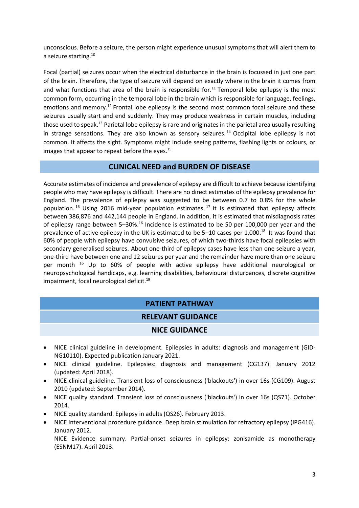unconscious. Before a seizure, the person might experience unusual symptoms that will alert them to a seizure starting.<sup>10</sup>

Focal (partial) seizures occur when the electrical disturbance in the brain is focussed in just one part of the brain. Therefore, the type of seizure will depend on exactly where in the brain it comes from and what functions that area of the brain is responsible for.<sup>11</sup> Temporal lobe epilepsy is the most common form, occurring in the temporal lobe in the brain which is responsible for language, feelings, emotions and memory.<sup>12</sup> Frontal lobe epilepsy is the second most common focal seizure and these seizures usually start and end suddenly. They may produce weakness in certain muscles, including those used to speak.<sup>13</sup> Parietal lobe epilepsy is rare and originates in the parietal area usually resulting in strange sensations. They are also known as sensory seizures.<sup>14</sup> Occipital lobe epilepsy is not common. It affects the sight. Symptoms might include seeing patterns, flashing lights or colours, or images that appear to repeat before the eyes. $15$ 

#### **CLINICAL NEED and BURDEN OF DISEASE**

<span id="page-2-0"></span>Accurate estimates of incidence and prevalence of epilepsy are difficult to achieve because identifying people who may have epilepsy is difficult. There are no direct estimates of the epilepsy prevalence for England. The prevalence of epilepsy was suggested to be between 0.7 to 0.8% for the whole population.<sup>16</sup> Using 2016 mid-year population estimates,<sup>17</sup> it is estimated that epilepsy affects between 386,876 and 442,144 people in England. In addition, it is estimated that misdiagnosis rates of epilepsy range between 5-30%.<sup>[16](#page-2-0)</sup> Incidence is estimated to be 50 per 100,000 per year and the prevalence of active epilepsy in the UK is estimated to be  $5-10$  cases per 1,000.<sup>18</sup> It was found that 60% of people with epilepsy have convulsive seizures, of which two-thirds have focal epilepsies with secondary generalised seizures. About one-third of epilepsy cases have less than one seizure a year, one-third have between one and 12 seizures per year and the remainder have more than one seizure per month [16](#page-2-0) Up to 60% of people with active epilepsy have additional neurological or neuropsychological handicaps, e.g. learning disabilities, behavioural disturbances, discrete cognitive impairment, focal neurological deficit.<sup>19</sup>

#### **PATIENT PATHWAY**

#### **RELEVANT GUIDANCE**

#### **NICE GUIDANCE**

- NICE clinical guideline in development. Epilepsies in adults: diagnosis and management (GID-NG10110). Expected publication January 2021.
- NICE clinical guideline. Epilepsies: diagnosis and management (CG137). January 2012 (updated: April 2018).
- NICE clinical guideline. Transient loss of consciousness ('blackouts') in over 16s (CG109). August 2010 (updated: September 2014).
- NICE quality standard. Transient loss of consciousness ('blackouts') in over 16s (QS71). October 2014.
- NICE quality standard. Epilepsy in adults (QS26). February 2013.
- NICE interventional procedure guidance. Deep brain stimulation for refractory epilepsy (IPG416). January 2012.

NICE Evidence summary. Partial-onset seizures in epilepsy: zonisamide as monotherapy (ESNM17). April 2013.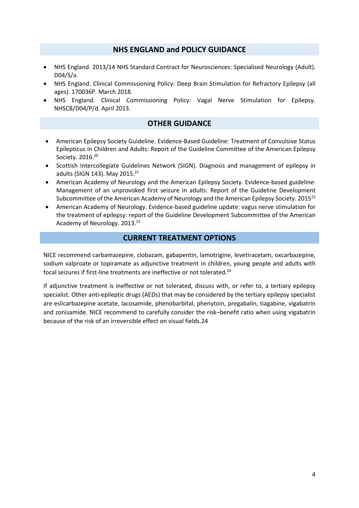#### **NHS ENGLAND and POLICY GUIDANCE**

- NHS England. 2013/14 NHS Standard Contract for Neurosciences: Specialised Neurology (Adult). D04/S/a.
- NHS England. Clinical Commissioning Policy: Deep Brain Stimulation for Refractory Epilepsy (all ages). 170036P. March 2018.
- NHS England. Clinical Commissioning Policy: Vagal Nerve Stimulation for Epilepsy. NHSCB/D04/P/d. April 2013.

#### **OTHER GUIDANCE**

- American Epilepsy Society Guideline. Evidence-Based Guideline: Treatment of Convulsive Status Epilepticus in Children and Adults: Report of the Guideline Committee of the American Epilepsy Society. 2016.<sup>20</sup>
- Scottish Intercollegiate Guidelines Network (SIGN). Diagnosis and management of epilepsy in adults (SIGN 143). May 2015.<sup>21</sup>
- American Academy of Neurology and the American Epilepsy Society. Evidence-based guideline: Management of an unprovoked first seizure in adults: Report of the Guideline Development Subcommittee of the American Academy of Neurology and the American Epilepsy Society. 2015<sup>22</sup>
- American Academy of Neurology. Evidence-based guideline update: vagus nerve stimulation for the treatment of epilepsy: report of the Guideline Development Subcommittee of the American Academy of Neurology. 2013.<sup>23</sup>

#### <span id="page-3-0"></span>**CURRENT TREATMENT OPTIONS**

NICE recommend carbamazepine, clobazam, gabapentin, lamotrigine, levetiracetam, oxcarbazepine, sodium valproate or topiramate as adjunctive treatment in children, young people and adults with focal seizures if first-line treatments are ineffective or not tolerated.<sup>24</sup>

If adjunctive treatment is ineffective or not tolerated, discuss with, or refer to, a tertiary epilepsy specialist. Other anti-epileptic drugs (AEDs) that may be considered by the tertiary epilepsy specialist are eslicarbazepine acetate, lacosamide, phenobarbital, phenytoin, pregabalin, tiagabine, vigabatrin and zonisamide. NICE recommend to carefully consider the risk–benefit ratio when using vigabatrin because of the risk of an irreversible effect on visual fields[.24](#page-3-0)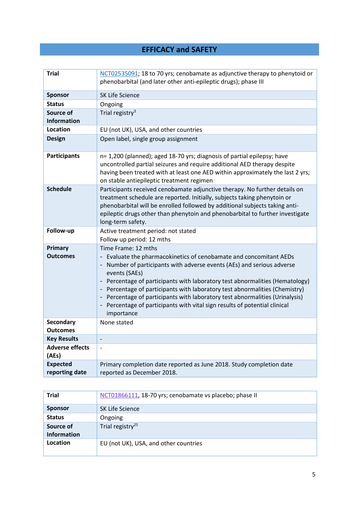### **EFFICACY and SAFETY**

| <b>Trial</b>                        | NCT02535091; 18 to 70 yrs; cenobamate as adjunctive therapy to phenytoid or<br>phenobarbital (and later other anti-epileptic drugs); phase III                                                                                                                                                                                                                                                                                                                                                                                |
|-------------------------------------|-------------------------------------------------------------------------------------------------------------------------------------------------------------------------------------------------------------------------------------------------------------------------------------------------------------------------------------------------------------------------------------------------------------------------------------------------------------------------------------------------------------------------------|
| <b>Sponsor</b>                      | <b>SK Life Science</b>                                                                                                                                                                                                                                                                                                                                                                                                                                                                                                        |
| <b>Status</b>                       | Ongoing                                                                                                                                                                                                                                                                                                                                                                                                                                                                                                                       |
| Source of<br><b>Information</b>     | Trial registry <sup>3</sup>                                                                                                                                                                                                                                                                                                                                                                                                                                                                                                   |
| Location                            | EU (not UK), USA, and other countries                                                                                                                                                                                                                                                                                                                                                                                                                                                                                         |
| <b>Design</b>                       | Open label, single group assignment                                                                                                                                                                                                                                                                                                                                                                                                                                                                                           |
| <b>Participants</b>                 | n= 1,200 (planned); aged 18-70 yrs; diagnosis of partial epilepsy; have<br>uncontrolled partial seizures and require additional AED therapy despite<br>having been treated with at least one AED within approximately the last 2 yrs;<br>on stable antiepileptic treatment regimen                                                                                                                                                                                                                                            |
| <b>Schedule</b>                     | Participants received cenobamate adjunctive therapy. No further details on<br>treatment schedule are reported. Initially, subjects taking phenytoin or<br>phenobarbital will be enrolled followed by additional subjects taking anti-<br>epileptic drugs other than phenytoin and phenobarbital to further investigate<br>long-term safety.                                                                                                                                                                                   |
| Follow-up                           | Active treatment period: not stated<br>Follow up period: 12 mths                                                                                                                                                                                                                                                                                                                                                                                                                                                              |
| Primary<br><b>Outcomes</b>          | Time Frame: 12 mths<br>- Evaluate the pharmacokinetics of cenobamate and concomitant AEDs<br>Number of participants with adverse events (AEs) and serious adverse<br>events (SAEs)<br>- Percentage of participants with laboratory test abnormalities (Hematology)<br>- Percentage of participants with laboratory test abnormalities (Chemistry)<br>- Percentage of participants with laboratory test abnormalities (Urinalysis)<br>- Percentage of participants with vital sign results of potential clinical<br>importance |
| <b>Secondary</b><br><b>Outcomes</b> | None stated                                                                                                                                                                                                                                                                                                                                                                                                                                                                                                                   |
| <b>Key Results</b>                  | $\overline{\phantom{a}}$                                                                                                                                                                                                                                                                                                                                                                                                                                                                                                      |
| <b>Adverse effects</b><br>(AEs)     | $\overline{a}$                                                                                                                                                                                                                                                                                                                                                                                                                                                                                                                |
| <b>Expected</b><br>reporting date   | Primary completion date reported as June 2018. Study completion date<br>reported as December 2018.                                                                                                                                                                                                                                                                                                                                                                                                                            |

| <b>Trial</b>                    | NCT01866111, 18-70 yrs; cenobamate vs placebo; phase II |
|---------------------------------|---------------------------------------------------------|
| <b>Sponsor</b>                  | SK Life Science                                         |
| <b>Status</b>                   | Ongoing                                                 |
| Source of<br><b>Information</b> | Trial registry <sup>25</sup>                            |
| Location                        | EU (not UK), USA, and other countries                   |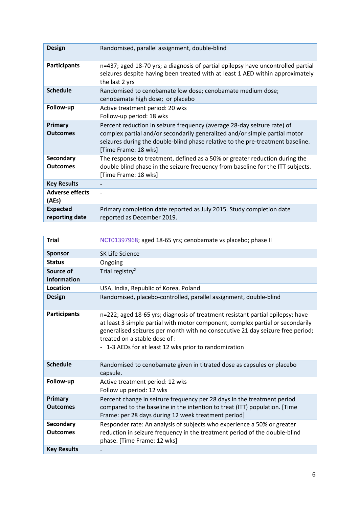| <b>Design</b>                     | Randomised, parallel assignment, double-blind                                                                                                                                                                                                                   |
|-----------------------------------|-----------------------------------------------------------------------------------------------------------------------------------------------------------------------------------------------------------------------------------------------------------------|
| <b>Participants</b>               | n=437; aged 18-70 yrs; a diagnosis of partial epilepsy have uncontrolled partial<br>seizures despite having been treated with at least 1 AED within approximately<br>the last 2 yrs                                                                             |
| <b>Schedule</b>                   | Randomised to cenobamate low dose; cenobamate medium dose;<br>cenobamate high dose; or placebo                                                                                                                                                                  |
| Follow-up                         | Active treatment period: 20 wks<br>Follow-up period: 18 wks                                                                                                                                                                                                     |
| Primary<br><b>Outcomes</b>        | Percent reduction in seizure frequency (average 28-day seizure rate) of<br>complex partial and/or secondarily generalized and/or simple partial motor<br>seizures during the double-blind phase relative to the pre-treatment baseline.<br>[Time Frame: 18 wks] |
| Secondary<br><b>Outcomes</b>      | The response to treatment, defined as a 50% or greater reduction during the<br>double blind phase in the seizure frequency from baseline for the ITT subjects.<br>[Time Frame: 18 wks]                                                                          |
| <b>Key Results</b>                |                                                                                                                                                                                                                                                                 |
| <b>Adverse effects</b><br>(AEs)   | $\overline{\phantom{0}}$                                                                                                                                                                                                                                        |
| <b>Expected</b><br>reporting date | Primary completion date reported as July 2015. Study completion date<br>reported as December 2019.                                                                                                                                                              |

| <b>Trial</b>                    | NCT01397968; aged 18-65 yrs; cenobamate vs placebo; phase II                                                                                                                                                                                                                                                                                 |
|---------------------------------|----------------------------------------------------------------------------------------------------------------------------------------------------------------------------------------------------------------------------------------------------------------------------------------------------------------------------------------------|
| <b>Sponsor</b>                  | <b>SK Life Science</b>                                                                                                                                                                                                                                                                                                                       |
| <b>Status</b>                   | Ongoing                                                                                                                                                                                                                                                                                                                                      |
| Source of<br><b>Information</b> | Trial registry <sup>2</sup>                                                                                                                                                                                                                                                                                                                  |
| Location                        | USA, India, Republic of Korea, Poland                                                                                                                                                                                                                                                                                                        |
| <b>Design</b>                   | Randomised, placebo-controlled, parallel assignment, double-blind                                                                                                                                                                                                                                                                            |
| <b>Participants</b>             | n=222; aged 18-65 yrs; diagnosis of treatment resistant partial epilepsy; have<br>at least 3 simple partial with motor component, complex partial or secondarily<br>generalised seizures per month with no consecutive 21 day seizure free period;<br>treated on a stable dose of :<br>- 1-3 AEDs for at least 12 wks prior to randomization |
| <b>Schedule</b>                 | Randomised to cenobamate given in titrated dose as capsules or placebo<br>capsule.                                                                                                                                                                                                                                                           |
| Follow-up                       | Active treatment period: 12 wks<br>Follow up period: 12 wks                                                                                                                                                                                                                                                                                  |
| Primary<br><b>Outcomes</b>      | Percent change in seizure frequency per 28 days in the treatment period<br>compared to the baseline in the intention to treat (ITT) population. [Time<br>Frame: per 28 days during 12 week treatment period]                                                                                                                                 |
| Secondary<br><b>Outcomes</b>    | Responder rate: An analysis of subjects who experience a 50% or greater<br>reduction in seizure frequency in the treatment period of the double-blind<br>phase. [Time Frame: 12 wks]                                                                                                                                                         |
| <b>Key Results</b>              |                                                                                                                                                                                                                                                                                                                                              |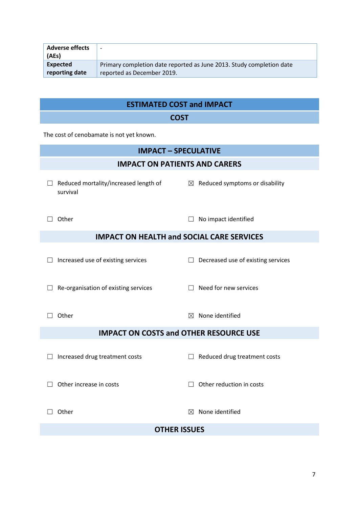| <b>Adverse effects</b><br>(AEs) | $\overline{\phantom{0}}$                                                                           |
|---------------------------------|----------------------------------------------------------------------------------------------------|
| Expected<br>reporting date      | Primary completion date reported as June 2013. Study completion date<br>reported as December 2019. |
|                                 |                                                                                                    |

## **ESTIMATED COST and IMPACT**

#### **COST**

The cost of cenobamate is not yet known.

#### **IMPACT – SPECULATIVE**

#### **IMPACT ON PATIENTS AND CARERS**

- ☐ Reduced mortality/increased length of survival
- 

□ Other □ No impact identified

 $\boxtimes$  Reduced symptoms or disability

#### **IMPACT ON HEALTH and SOCIAL CARE SERVICES**

☐ Increased use of existing services ☐ Decreased use of existing services

☐ Re-organisation of existing services ☐ Need for new services

 $\Box$  Other  $\boxtimes$  None identified

#### **IMPACT ON COSTS and OTHER RESOURCE USE**

☐ Increased drug treatment costs ☐ Reduced drug treatment costs

☐ Other increase in costs ☐ Other reduction in costs

□ Other **□** Other **□** Other **□** Other **□** Other **□** Other **□** Other **□** Other **□** Other **□** 

#### **OTHER ISSUES**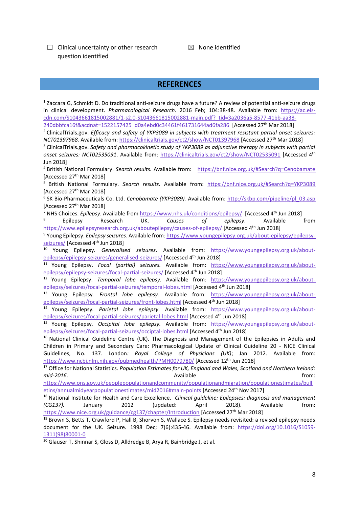$\Box$  Clinical uncertainty or other research question identified

 $\boxtimes$  None identified

#### **REFERENCES**

<sup>1</sup> Zaccara G, Schmidt D. Do traditional anti-seizure drugs have a future? A review of potential anti-seizure drugs in clinical development. *Pharmacological Research*. 2016 Feb; 104:38-48. Available from: [https://ac.els](https://ac.els-cdn.com/S1043661815002881/1-s2.0-S1043661815002881-main.pdf?_tid=3a2036a5-8577-41bb-aa38-240dbbfca16f&acdnat=1522157425_d0a4ebd0c34461f461731644ad6fa286)[cdn.com/S1043661815002881/1-s2.0-S1043661815002881-main.pdf?\\_tid=3a2036a5-8577-41bb-aa38-](https://ac.els-cdn.com/S1043661815002881/1-s2.0-S1043661815002881-main.pdf?_tid=3a2036a5-8577-41bb-aa38-240dbbfca16f&acdnat=1522157425_d0a4ebd0c34461f461731644ad6fa286) [240dbbfca16f&acdnat=1522157425\\_d0a4ebd0c34461f461731644ad6fa286](https://ac.els-cdn.com/S1043661815002881/1-s2.0-S1043661815002881-main.pdf?_tid=3a2036a5-8577-41bb-aa38-240dbbfca16f&acdnat=1522157425_d0a4ebd0c34461f461731644ad6fa286) [Accessed 27th Mar 2018] <sup>2</sup> ClinicalTrials.gov. *Efficacy and safety of YKP3089 in subjects with treatment resistant partial onset seizures: NCT01397968.* Available from:<https://clinicaltrials.gov/ct2/show/NCT01397968> [Accessed 27th Mar 2018] <sup>3</sup> ClinicalTrials.gov. *Safety and pharmacokinetic study of YKP3089 as adjunctive therapy in subjects with partial onset seizures: NCT02535091*. Available from:<https://clinicaltrials.gov/ct2/show/NCT02535091> [Accessed 4th Jun 2018] <sup>4</sup> British National Formulary. *Search results.* Available from: <https://bnf.nice.org.uk/#Search?q=Cenobamate> [Accessed 27<sup>th</sup> Mar 2018] <sup>5</sup> British National Formulary. *Search results.* Available from: <https://bnf.nice.org.uk/#Search?q=YKP3089> [Accessed 27<sup>th</sup> Mar 2018] <sup>6</sup> SK Bio-Pharmaceuticals Co. Ltd. *Cenobamate (YKP3089)*. Available from: [http://skbp.com/pipeline/pl\\_03.asp](http://skbp.com/pipeline/pl_03.asp) [Accessed 27<sup>th</sup> Mar 2018] <sup>7</sup> NHS Choices. *Epilepsy*. Available from<https://www.nhs.uk/conditions/epilepsy/>[Accessed 4th Jun 2018] <sup>8</sup> Epilepsy Research UK. *Causes of epilepsy*. Available from <https://www.epilepsyresearch.org.uk/aboutepilepsy/causes-of-epilepsy/> [Accessed 4<sup>th</sup> Jun 2018] <sup>9</sup> Young Epilepsy. *Epilepsy seizures*. Available from: [https://www.youngepilepsy.org.uk/about-epilepsy/epilepsy](https://www.youngepilepsy.org.uk/about-epilepsy/epilepsy-seizures/)[seizures/](https://www.youngepilepsy.org.uk/about-epilepsy/epilepsy-seizures/) [Accessed 4<sup>th</sup> Jun 2018] <sup>10</sup> Young Epilepsy. *Generalised seizures*. Available from: [https://www.youngepilepsy.org.uk/about](https://www.youngepilepsy.org.uk/about-epilepsy/epilepsy-seizures/generalised-seizures/)[epilepsy/epilepsy-seizures/generalised-seizures/](https://www.youngepilepsy.org.uk/about-epilepsy/epilepsy-seizures/generalised-seizures/) [Accessed 4<sup>th</sup> Jun 2018] <sup>11</sup> Young Epilepsy. *Focal (partial) seizures.* Available from: [https://www.youngepilepsy.org.uk/about](https://www.youngepilepsy.org.uk/about-epilepsy/epilepsy-seizures/focal-partial-seizures/)[epilepsy/epilepsy-seizures/focal-partial-seizures/](https://www.youngepilepsy.org.uk/about-epilepsy/epilepsy-seizures/focal-partial-seizures/) [Accessed 4<sup>th</sup> Jun 2018] <sup>12</sup> Young Epilepsy. *Temporal lobe epilepsy.* Available from: [https://www.youngepilepsy.org.uk/about](https://www.youngepilepsy.org.uk/about-epilepsy/seizures/focal-partial-seizures/temporal-lobes.html)[epilepsy/seizures/focal-partial-seizures/temporal-lobes.html](https://www.youngepilepsy.org.uk/about-epilepsy/seizures/focal-partial-seizures/temporal-lobes.html) [Accessed 4<sup>th</sup> Jun 2018] <sup>13</sup> Young Epilepsy*. Frontal lobe epilepsy.* Available from: [https://www.youngepilepsy.org.uk/about](https://www.youngepilepsy.org.uk/about-epilepsy/seizures/focal-partial-seizures/front-lobes.html)[epilepsy/seizures/focal-partial-seizures/front-lobes.html](https://www.youngepilepsy.org.uk/about-epilepsy/seizures/focal-partial-seizures/front-lobes.html) [Accessed 4<sup>th</sup> Jun 2018] <sup>14</sup> Young Epilepsy*. Parietal lobe epilepsy.* Available from: [https://www.youngepilepsy.org.uk/about](https://www.youngepilepsy.org.uk/about-epilepsy/seizures/focal-partial-seizures/parietal-lobes.html)[epilepsy/seizures/focal-partial-seizures/parietal-lobes.html](https://www.youngepilepsy.org.uk/about-epilepsy/seizures/focal-partial-seizures/parietal-lobes.html) [Accessed 4<sup>th</sup> Jun 2018] <sup>15</sup> Young Epilepsy*. Occipital lobe epilepsy.* Available from: [https://www.youngepilepsy.org.uk/about](https://www.youngepilepsy.org.uk/about-epilepsy/seizures/focal-partial-seizures/occiptal-lobes.html)[epilepsy/seizures/focal-partial-seizures/occiptal-lobes.html](https://www.youngepilepsy.org.uk/about-epilepsy/seizures/focal-partial-seizures/occiptal-lobes.html) [Accessed 4<sup>th</sup> Jun 2018] <sup>16</sup> National Clinical Guideline Centre (UK). The Diagnosis and Management of the Epilepsies in Adults and Children in Primary and Secondary Care: Pharmacological Update of Clinical Guideline 20 - NICE Clinical Guidelines, No. 137. London*: Royal College of Physicians (UK)*; Jan 2012. Available from: <https://www.ncbi.nlm.nih.gov/pubmedhealth/PMH0079780/> [Accessed 12th Jun 2018] <sup>17</sup> Office for National Statistics. *Population Estimates for UK, England and Wales, Scotland and Northern Ireland:*  **mid-2016. https://willipide.org/community/informediate/setters/informediate/setters/informediate/setters/informediate/setters/informediate/setters/informediate/setters/informediate/setters/informediate/setters/informedi** [https://www.ons.gov.uk/peoplepopulationandcommunity/populationandmigration/populationestimates/bull](https://www.ons.gov.uk/peoplepopulationandcommunity/populationandmigration/populationestimates/bulletins/annualmidyearpopulationestimates/mid2016#main-points) [etins/annualmidyearpopulationestimates/mid2016#main-points](https://www.ons.gov.uk/peoplepopulationandcommunity/populationandmigration/populationestimates/bulletins/annualmidyearpopulationestimates/mid2016#main-points) [Accessed 24th Nov 2017] <sup>18</sup> National Institute for Health and Care Excellence. *Clinical guideline: Epilepsies: diagnosis and management (CG137).* January 2012 (updated: April 2018). Available from: <https://www.nice.org.uk/guidance/cg137/chapter/Introduction> [Accessed 27th Mar 2018] 1

<sup>19</sup> Brown S, Betts T, Crawford P, Hall B, Shorvon S, Wallace S, Epilepsy needs revisited: a revised epilepsy needs document for the UK. Seizure. 1998 Dec; 7(6):435-46. Available from: [https://doi.org/10.1016/S1059-](https://doi.org/10.1016/S1059-1311(98)80001-0) [1311\(98\)80001-0](https://doi.org/10.1016/S1059-1311(98)80001-0)

<sup>20</sup> Glauser T, Shinnar S, Gloss D, Alldredge B, Arya R, Bainbridge J, et al.